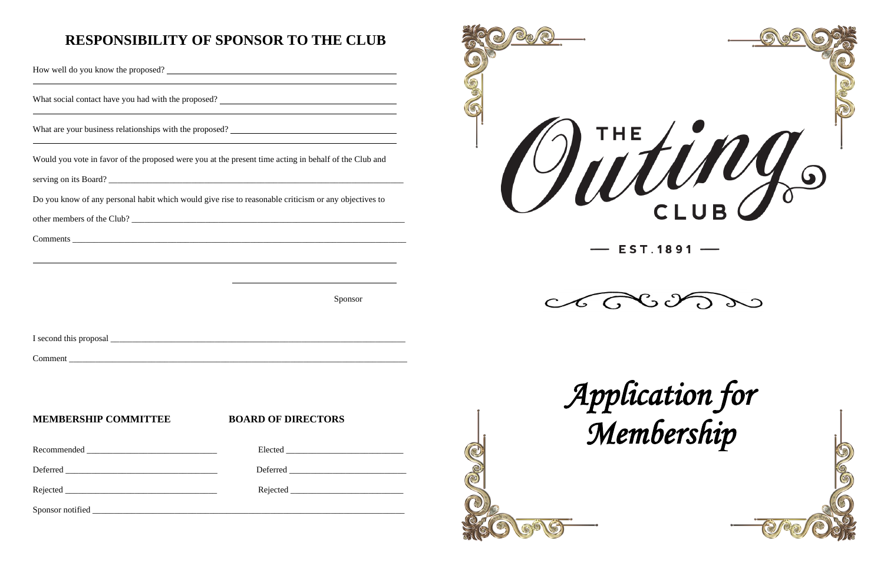## **RESPONSIBILITY OF SPONSOR TO THE CLUB**

<u> 1989 - Johann Stoff, deutscher Stoffen und der Stoffen und der Stoffen und der Stoffen und der Stoffen und d</u>

How well do you know the proposed?

What social contact have you had with the proposed?

What are your business relationships with the proposed?

Would you vote in favor of the proposed were you at the present time acting in behalf of the Club and

serving on its Board? \_\_\_\_\_\_\_\_\_\_\_\_\_\_\_\_\_\_\_\_\_\_\_\_\_\_\_\_\_\_\_\_\_\_\_\_\_\_\_\_\_\_\_\_\_\_\_\_\_\_\_\_\_\_\_\_\_\_\_\_\_\_\_\_\_\_\_\_

Do you know of any personal habit which would give rise to reasonable criticism or any objectives to

|                             | Sponsor                   |
|-----------------------------|---------------------------|
|                             |                           |
|                             |                           |
|                             |                           |
|                             |                           |
|                             |                           |
| <b>MEMBERSHIP COMMITTEE</b> | <b>BOARD OF DIRECTORS</b> |
|                             |                           |
|                             |                           |

other members of the Club? \_\_\_\_\_\_\_\_\_\_\_\_\_\_\_\_\_\_\_\_\_\_\_\_\_\_\_\_\_\_\_\_\_\_\_\_\_\_\_\_\_\_\_\_\_\_\_\_\_\_\_\_\_\_\_\_\_\_\_\_\_\_\_

Comments

Rejected \_\_\_\_\_\_\_\_\_\_\_\_\_\_\_\_\_\_\_\_\_\_\_\_\_\_\_\_\_\_\_\_\_\_\_ Rejected \_\_\_\_\_\_\_\_\_\_\_\_\_\_\_\_\_\_\_\_\_\_\_\_\_\_

Sponsor notified \_\_\_\_\_\_\_\_\_\_\_\_\_\_\_\_\_\_\_\_\_\_\_\_\_\_\_\_\_\_\_\_\_\_\_\_\_\_\_\_\_\_\_\_\_\_\_\_\_\_\_\_\_\_\_\_\_\_\_\_\_\_\_\_\_\_\_\_\_\_\_\_





Jutings

## $-$  EST.1891  $-$